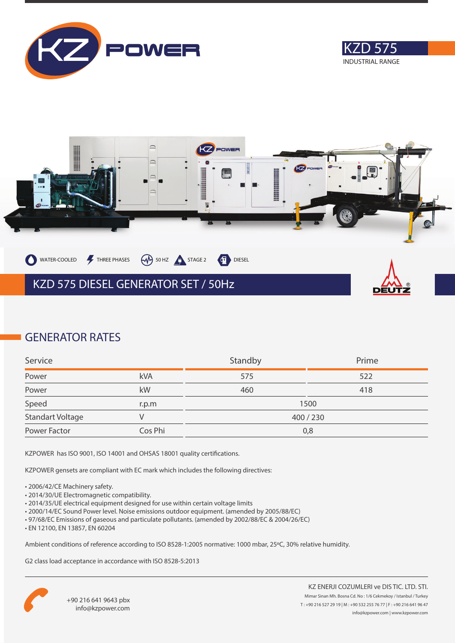





# **GENERATOR RATES**

| Service          |         | Standby | Prime |
|------------------|---------|---------|-------|
| Power            | kVA     | 575     | 522   |
| Power            | kW      | 460     | 418   |
| Speed            | r.p.m   |         | 1500  |
| Standart Voltage |         | 400/230 |       |
| Power Factor     | Cos Phi | 0,8     |       |

KZPOWER has ISO 9001, ISO 14001 and OHSAS 18001 quality certifications.

KZPOWER gensets are compliant with EC mark which includes the following directives:

- 2006/42/CE Machinery safety.
- 2014/30/UE Electromagnetic compatibility.
- 2014/35/UE electrical equipment designed for use within certain voltage limits
- 2000/14/EC Sound Power level. Noise emissions outdoor equipment. (amended by 2005/88/EC)
- 97/68/EC Emissions of gaseous and particulate pollutants. (amended by 2002/88/EC & 2004/26/EC)
- EN 12100, EN 13857, EN 60204

Ambient conditions of reference according to ISO 8528-1:2005 normative: 1000 mbar, 25ºC, 30% relative humidity.

G2 class load acceptance in accordance with ISO 8528-5:2013

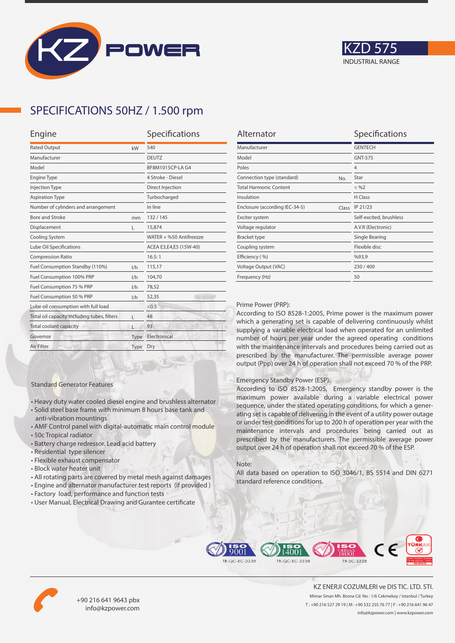



### **SPECIFICATIONS 50HZ / 1.500 rpm**

| Engine                                      |      | Specifications          |  |
|---------------------------------------------|------|-------------------------|--|
| <b>Rated Output</b><br>kW                   |      | 540                     |  |
| Manufacturer                                |      | <b>DEUTZ</b>            |  |
| Model                                       |      | BF8M1015CP-LA G4        |  |
| <b>Engine Type</b>                          |      | 4 Stroke - Diesel       |  |
| <b>Injection Type</b>                       |      | Direct Injection        |  |
| <b>Aspiration Type</b>                      |      | Turbocharged            |  |
| Number of cylinders and arrangement         |      | In line                 |  |
| <b>Bore and Stroke</b>                      | mm   | 132/145                 |  |
| Displacement                                | L    | 15,874                  |  |
| Cooling System                              |      | WATER + %50 Antifreezze |  |
| Lube Oil Specifications                     |      | ACEA E3,E4,E5 (15W-40)  |  |
| <b>Compression Ratio</b>                    |      | 16.5:1                  |  |
| Fuel Consumption Standby (110%)             | 1/h  | 115,17                  |  |
| Fuel Consumption 100% PRP                   | 1/h  | 104,70                  |  |
| Fuel Consumption 75 % PRP                   | 1/h  | 78,52                   |  |
| Fuel Consumption 50 % PRP<br>1/h            |      | 52,35                   |  |
| Lube oil consumption with full load         |      | < 0.5                   |  |
| Total oil capacity including tubes, filters | г    | 48                      |  |
| Total coolant capacity                      |      | 93                      |  |
| Governor                                    | Type | Electronical            |  |
| Air Filter                                  | Type | Dry                     |  |
|                                             |      |                         |  |

| Alternator                              | Specifications          |
|-----------------------------------------|-------------------------|
| Manufacturer                            | <b>GENTECH</b>          |
| Model                                   | <b>GNT-575</b>          |
| Poles                                   | $\overline{4}$          |
| Connection type (standard)<br>No.       | Star                    |
| <b>Total Harmonic Content</b>           | $<$ %2                  |
| Insulation                              | H Class                 |
| Enclosure (according IEC-34-5)<br>Class | IP 21/23                |
| Exciter system                          | Self-excited, brushless |
| Voltage regulator                       | A.V.R (Electronic)      |
| <b>Bracket type</b>                     | Single Bearing          |
| Coupling system                         | Flexible disc           |
| Efficiency (%)                          | %93,9                   |
| Voltage Output (VAC)                    | 230/400                 |
| Frequency (Hz)                          | 50                      |
|                                         |                         |

#### Prime Power (PRP):

According to ISO 8528-1:2005, Prime power is the maximum power which a generating set is capable of delivering continuously whilst supplying a variable electrical load when operated for an unlimited number of hours per year under the agreed operating conditions with the maintenance intervals and procedures being carried out as prescribed by the manufacturer. The permissible average power output (Ppp) over 24 h of operation shall not exceed 70 % of the PRP.

#### Emergency Standby Power (ESP):

According to ISO 8528-1:2005, Emergency standby power is the maximum power available during a variable electrical power sequence, under the stated operating conditions, for which a generating set is capable of delivering in the event of a utility power outage or under test conditions for up to 200 h of operation per year with the maintenance intervals and procedures being carried out as prescribed by the manufacturers. The permissible average power output over 24 h of operation shall not exceed 70 % of the ESP.

#### Note:

All data based on operation to ISO 3046/1, BS 5514 and DIN 6271 standard reference conditions.



• All rotating parts are covered by metal mesh against damages

• Heavy duty water cooled diesel engine and brushless alternator • Solid steel base frame with minimum 8 hours base tank and

• AMF Control panel with digital-automatic main control module

• User Manual, Electrical Drawing and Gurantee certificate

Standard Generator Features

anti-vibration mountings

• Residential type silencer • Flexible exhaust compensator • Block water heater unit

• Battery charge redressor. Lead acid battery

• 50c Tropical radiator





+90 216 641 9643 pbx info@kzpower.com

KZ ENERJI COZUMLERI ve DIS TIC. LTD. STI. Mimar Sinan Mh. Bosna Cd. No : 1/6 Cekmekoy / Istanbul / Turkey T : +90 216 527 29 19 | M : +90 532 255 76 77 | F : +90 216 641 96 47 info@kzpower.com | www.kzpower.com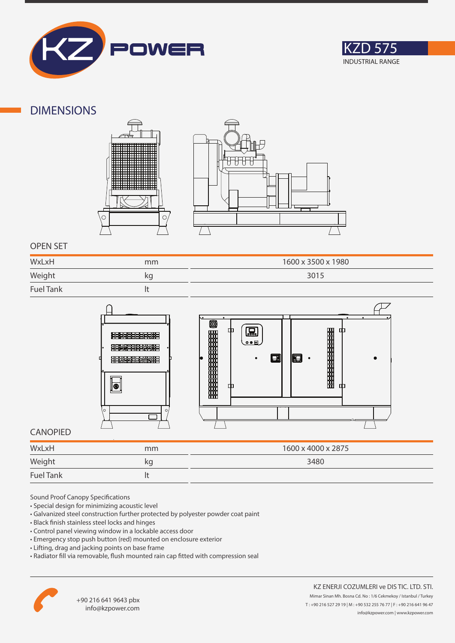



### **DIMENSIONS**





### **OPEN SET**

| WxLxH            | mm | 1600 x 3500 x 1980 |
|------------------|----|--------------------|
| Weight           | kg | 3015               |
| <b>Fuel Tank</b> |    |                    |



### **CANOPIED**

| WxLxH            | mm | 1600 x 4000 x 2875 |
|------------------|----|--------------------|
| Weight           | kg | 3480               |
| <b>Fuel Tank</b> |    |                    |

Sound Proof Canopy Specifications

- Special design for minimizing acoustic level
- Galvanized steel construction further protected by polyester powder coat paint
- Black finish stainless steel locks and hinges
- Control panel viewing window in a lockable access door
- Emergency stop push button (red) mounted on enclosure exterior
- Lifting, drag and jacking points on base frame
- Radiator fill via removable, flush mounted rain cap fitted with compression seal